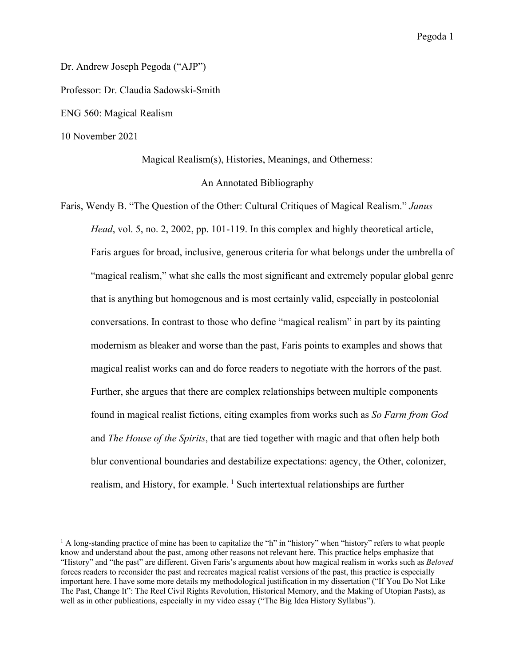Pegoda 1

Dr. Andrew Joseph Pegoda ("AJP") Professor: Dr. Claudia Sadowski-Smith ENG 560: Magical Realism

10 November 2021

Magical Realism(s), Histories, Meanings, and Otherness:

## An Annotated Bibliography

Faris, Wendy B. "The Question of the Other: Cultural Critiques of Magical Realism." *Janus Head*, vol. 5, no. 2, 2002, pp. 101-119. In this complex and highly theoretical article, Faris argues for broad, inclusive, generous criteria for what belongs under the umbrella of "magical realism," what she calls the most significant and extremely popular global genre that is anything but homogenous and is most certainly valid, especially in postcolonial conversations. In contrast to those who define "magical realism" in part by its painting modernism as bleaker and worse than the past, Faris points to examples and shows that magical realist works can and do force readers to negotiate with the horrors of the past. Further, she argues that there are complex relationships between multiple components found in magical realist fictions, citing examples from works such as *So Farm from God* and *The House of the Spirits*, that are tied together with magic and that often help both blur conventional boundaries and destabilize expectations: agency, the Other, colonizer, realism, and History, for example.<sup>1</sup> Such intertextual relationships are further

 $1$  A long-standing practice of mine has been to capitalize the "h" in "history" when "history" refers to what people know and understand about the past, among other reasons not relevant here. This practice helps emphasize that "History" and "the past" are different. Given Faris's arguments about how magical realism in works such as *Beloved* forces readers to reconsider the past and recreates magical realist versions of the past, this practice is especially important here. I have some more details my methodological justification in my dissertation ("If You Do Not Like The Past, Change It": The Reel Civil Rights Revolution, Historical Memory, and the Making of Utopian Pasts), as well as in other publications, especially in my video essay ("The Big Idea History Syllabus").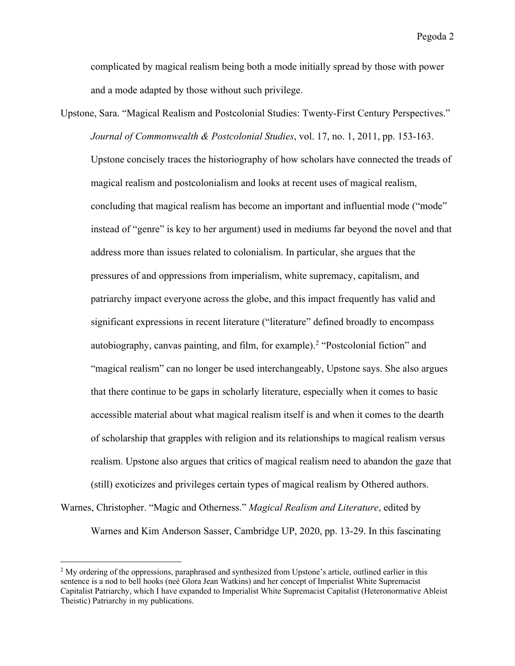complicated by magical realism being both a mode initially spread by those with power and a mode adapted by those without such privilege.

Upstone, Sara. "Magical Realism and Postcolonial Studies: Twenty-First Century Perspectives." *Journal of Commonwealth & Postcolonial Studies*, vol. 17, no. 1, 2011, pp. 153-163. Upstone concisely traces the historiography of how scholars have connected the treads of magical realism and postcolonialism and looks at recent uses of magical realism, concluding that magical realism has become an important and influential mode ("mode" instead of "genre" is key to her argument) used in mediums far beyond the novel and that address more than issues related to colonialism. In particular, she argues that the pressures of and oppressions from imperialism, white supremacy, capitalism, and patriarchy impact everyone across the globe, and this impact frequently has valid and significant expressions in recent literature ("literature" defined broadly to encompass autobiography, canvas painting, and film, for example). <sup>2</sup> "Postcolonial fiction" and "magical realism" can no longer be used interchangeably, Upstone says. She also argues that there continue to be gaps in scholarly literature, especially when it comes to basic accessible material about what magical realism itself is and when it comes to the dearth of scholarship that grapples with religion and its relationships to magical realism versus realism. Upstone also argues that critics of magical realism need to abandon the gaze that (still) exoticizes and privileges certain types of magical realism by Othered authors.

Warnes, Christopher. "Magic and Otherness." *Magical Realism and Literature*, edited by

Warnes and Kim Anderson Sasser, Cambridge UP, 2020, pp. 13-29. In this fascinating

<sup>&</sup>lt;sup>2</sup> My ordering of the oppressions, paraphrased and synthesized from Upstone's article, outlined earlier in this sentence is a nod to bell hooks (neé Glora Jean Watkins) and her concept of Imperialist White Supremacist Capitalist Patriarchy, which I have expanded to Imperialist White Supremacist Capitalist (Heteronormative Ableist Theistic) Patriarchy in my publications.